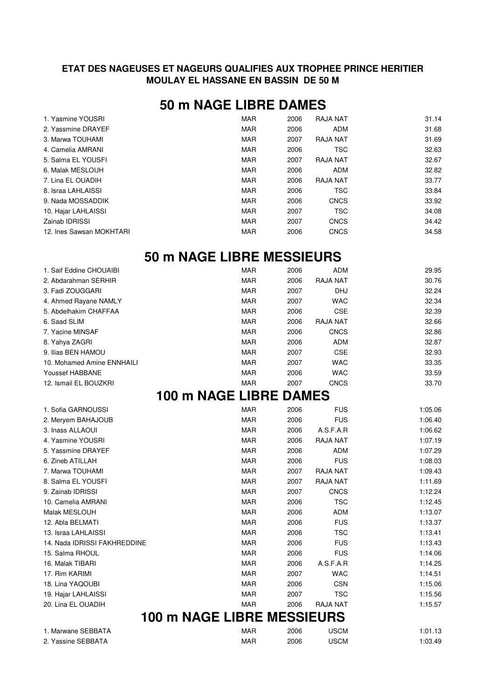## **ETAT DES NAGEUSES ET NAGEURS QUALIFIES AUX TROPHEE PRINCE HERITIER MOULAY EL HASSANE EN BASSIN DE 50 M**

## **50 m NAGE LIBRE DAMES**

| 1. Yasmine YOUSRI        | <b>MAR</b> | 2006 | RAJA NAT    | 31.14 |
|--------------------------|------------|------|-------------|-------|
| 2. Yassmine DRAYEF       | <b>MAR</b> | 2006 | <b>ADM</b>  | 31.68 |
| 3. Marwa TOUHAMI         | <b>MAR</b> | 2007 | RAJA NAT    | 31.69 |
| 4. Camelia AMRANI        | MAR        | 2006 | TSC         | 32.63 |
| 5. Salma EL YOUSFI       | <b>MAR</b> | 2007 | RAJA NAT    | 32.67 |
| 6. Malak MESLOUH         | <b>MAR</b> | 2006 | ADM         | 32.82 |
| 7. Lina EL OUADIH        | <b>MAR</b> | 2006 | RAJA NAT    | 33.77 |
| 8. Israa LAHLAISSI       | <b>MAR</b> | 2006 | <b>TSC</b>  | 33.84 |
| 9. Nada MOSSADDIK        | <b>MAR</b> | 2006 | <b>CNCS</b> | 33.92 |
| 10. Hajar LAHLAISSI      | <b>MAR</b> | 2007 | <b>TSC</b>  | 34.08 |
| Zainab IDRISSI           | <b>MAR</b> | 2007 | <b>CNCS</b> | 34.42 |
| 12. Ines Sawsan MOKHTARI | <b>MAR</b> | 2006 | <b>CNCS</b> | 34.58 |
|                          |            |      |             |       |

## **50 m NAGE LIBRE MESSIEURS**

| 1. Saif Eddine CHOUAIBI      | <b>MAR</b>                        | 2006 | <b>ADM</b>      | 29.95   |
|------------------------------|-----------------------------------|------|-----------------|---------|
| 2. Abdarahman SERHIR         | <b>MAR</b>                        | 2006 | <b>RAJA NAT</b> | 30.76   |
| 3. Fadi ZOUGGARI             | <b>MAR</b>                        | 2007 | DHJ             | 32.24   |
| 4. Ahmed Rayane NAMLY        | <b>MAR</b>                        | 2007 | <b>WAC</b>      | 32.34   |
| 5. Abdelhakim CHAFFAA        | <b>MAR</b>                        | 2006 | <b>CSE</b>      | 32.39   |
| 6. Saad SLIM                 | <b>MAR</b>                        | 2006 | RAJA NAT        | 32.66   |
| 7. Yacine MINSAF             | <b>MAR</b>                        | 2006 | <b>CNCS</b>     | 32.86   |
| 8. Yahya ZAGRI               | <b>MAR</b>                        | 2006 | <b>ADM</b>      | 32.87   |
| 9. Ilias BEN HAMOU           | <b>MAR</b>                        | 2007 | <b>CSE</b>      | 32.93   |
| 10. Mohamed Amine ENNHAILI   | <b>MAR</b>                        | 2007 | <b>WAC</b>      | 33.35   |
| Youssef HABBANE              | <b>MAR</b>                        | 2006 | <b>WAC</b>      | 33.59   |
| 12. Ismail EL BOUZKRI        | MAR                               | 2007 | <b>CNCS</b>     | 33.70   |
|                              | 100 m NAGE LIBRE DAMES            |      |                 |         |
| 1. Sofia GARNOUSSI           | <b>MAR</b>                        | 2006 | <b>FUS</b>      | 1:05.06 |
| 2. Meryem BAHAJOUB           | <b>MAR</b>                        | 2006 | <b>FUS</b>      | 1:06.40 |
| 3. Inass ALLAOUI             | <b>MAR</b>                        | 2006 | A.S.F.A.R       | 1:06.62 |
| 4. Yasmine YOUSRI            | <b>MAR</b>                        | 2006 | RAJA NAT        | 1:07.19 |
| 5. Yassmine DRAYEF           | <b>MAR</b>                        | 2006 | <b>ADM</b>      | 1:07.29 |
| 6. Zineb ATILLAH             | <b>MAR</b>                        | 2006 | <b>FUS</b>      | 1:08.03 |
| 7. Marwa TOUHAMI             | <b>MAR</b>                        | 2007 | <b>RAJA NAT</b> | 1:09.43 |
| 8. Salma EL YOUSFI           | <b>MAR</b>                        | 2007 | RAJA NAT        | 1:11.69 |
| 9. Zainab IDRISSI            | <b>MAR</b>                        | 2007 | <b>CNCS</b>     | 1:12.24 |
| 10. Camelia AMRANI           | <b>MAR</b>                        | 2006 | <b>TSC</b>      | 1:12.45 |
| Malak MESLOUH                | <b>MAR</b>                        | 2006 | <b>ADM</b>      | 1:13.07 |
| 12. Abla BELMATI             | <b>MAR</b>                        | 2006 | <b>FUS</b>      | 1:13.37 |
| 13. Israa LAHLAISSI          | <b>MAR</b>                        | 2006 | <b>TSC</b>      | 1:13.41 |
| 14. Nada IDRISSI FAKHREDDINE | <b>MAR</b>                        | 2006 | <b>FUS</b>      | 1:13.43 |
| 15. Salma RHOUL              | <b>MAR</b>                        | 2006 | <b>FUS</b>      | 1:14.06 |
| 16. Malak TIBARI             | <b>MAR</b>                        | 2006 | A.S.F.A.R       | 1:14.25 |
| 17. Rim KARIMI               | <b>MAR</b>                        | 2007 | <b>WAC</b>      | 1:14.51 |
| 18. Lina YAQOUBI             | <b>MAR</b>                        | 2006 | <b>CSN</b>      | 1:15.06 |
| 19. Hajar LAHLAISSI          | <b>MAR</b>                        | 2007 | <b>TSC</b>      | 1:15.56 |
| 20. Lina EL OUADIH           | <b>MAR</b>                        | 2006 | <b>RAJA NAT</b> | 1:15.57 |
|                              | <b>100 m NAGE LIBRE MESSIEURS</b> |      |                 |         |
| 1. Marwane SEBBATA           | <b>MAR</b>                        | 2006 | <b>USCM</b>     | 1:01.13 |
| 2. Yassine SEBBATA           | MAR                               | 2006 | <b>USCM</b>     | 1:03.49 |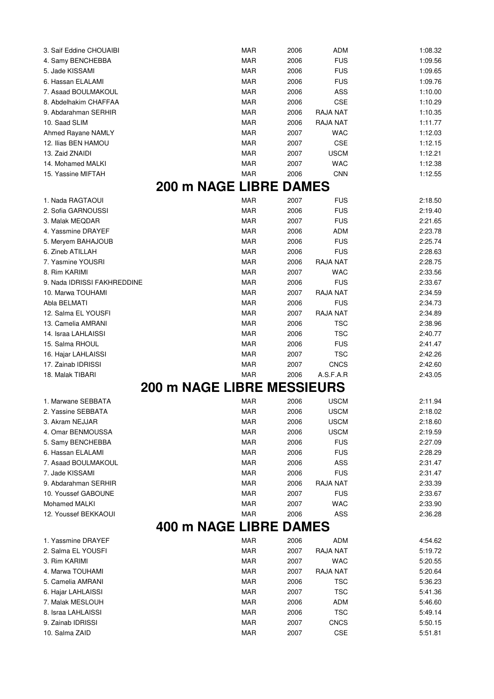| 3. Saif Eddine CHOUAIBI               | <b>MAR</b>                        | 2006         | <b>ADM</b>      | 1:08.32 |
|---------------------------------------|-----------------------------------|--------------|-----------------|---------|
| 4. Samy BENCHEBBA                     | <b>MAR</b>                        | 2006         | <b>FUS</b>      | 1:09.56 |
| 5. Jade KISSAMI                       | MAR                               | 2006         | <b>FUS</b>      | 1:09.65 |
| 6. Hassan ELALAMI                     | <b>MAR</b>                        | 2006         | <b>FUS</b>      | 1:09.76 |
| 7. Asaad BOULMAKOUL                   | <b>MAR</b>                        | 2006         | ASS             | 1:10.00 |
| 8. Abdelhakim CHAFFAA                 | <b>MAR</b>                        | 2006         | CSE             | 1:10.29 |
| 9. Abdarahman SERHIR                  | <b>MAR</b>                        | 2006         | RAJA NAT        | 1:10.35 |
| 10. Saad SLIM                         | MAR                               | 2006         | RAJA NAT        | 1:11.77 |
| Ahmed Rayane NAMLY                    | <b>MAR</b>                        | 2007         | <b>WAC</b>      | 1:12.03 |
| 12. Ilias BEN HAMOU                   | <b>MAR</b>                        | 2007         | CSE             | 1:12.15 |
| 13. Zaid ZNAIDI                       | <b>MAR</b>                        | 2007         | <b>USCM</b>     | 1:12.21 |
| 14. Mohamed MALKI                     | <b>MAR</b>                        | 2007         | <b>WAC</b>      | 1:12.38 |
| 15. Yassine MIFTAH                    | <b>MAR</b>                        | 2006         | <b>CNN</b>      | 1:12.55 |
|                                       | <b>200 m NAGE LIBRE</b>           | <b>DAMES</b> |                 |         |
| 1. Nada RAGTAOUI                      | <b>MAR</b>                        | 2007         | <b>FUS</b>      | 2:18.50 |
| 2. Sofia GARNOUSSI                    | <b>MAR</b>                        | 2006         | <b>FUS</b>      | 2:19.40 |
| 3. Malak MEQDAR                       | <b>MAR</b>                        | 2007         | <b>FUS</b>      | 2:21.65 |
| 4. Yassmine DRAYEF                    | <b>MAR</b>                        | 2006         | <b>ADM</b>      | 2:23.78 |
| 5. Meryem BAHAJOUB                    | <b>MAR</b>                        | 2006         | <b>FUS</b>      | 2:25.74 |
|                                       | <b>MAR</b>                        |              | <b>FUS</b>      |         |
| 6. Zineb ATILLAH<br>7. Yasmine YOUSRI |                                   | 2006         |                 | 2:28.63 |
|                                       | MAR                               | 2006         | RAJA NAT        | 2:28.75 |
| 8. Rim KARIMI                         | <b>MAR</b>                        | 2007         | <b>WAC</b>      | 2:33.56 |
| 9. Nada IDRISSI FAKHREDDINE           | <b>MAR</b>                        | 2006         | <b>FUS</b>      | 2:33.67 |
| 10. Marwa TOUHAMI                     | <b>MAR</b>                        | 2007         | RAJA NAT        | 2:34.59 |
| Abla BELMATI                          | <b>MAR</b>                        | 2006         | <b>FUS</b>      | 2:34.73 |
| 12. Salma EL YOUSFI                   | <b>MAR</b>                        | 2007         | RAJA NAT        | 2:34.89 |
| 13. Camelia AMRANI                    | <b>MAR</b>                        | 2006         | <b>TSC</b>      | 2:38.96 |
| 14. Israa LAHLAISSI                   | <b>MAR</b>                        | 2006         | <b>TSC</b>      | 2:40.77 |
| 15. Salma RHOUL                       | MAR                               | 2006         | <b>FUS</b>      | 2:41.47 |
| 16. Hajar LAHLAISSI                   | <b>MAR</b>                        | 2007         | <b>TSC</b>      | 2:42.26 |
| 17. Zainab IDRISSI                    | <b>MAR</b>                        | 2007         | <b>CNCS</b>     | 2:42.60 |
| 18. Malak TIBARI                      | <b>MAR</b>                        | 2006         | A.S.F.A.R       | 2:43.05 |
|                                       | <b>200 m NAGE LIBRE MESSIEURS</b> |              |                 |         |
| 1. Marwane SEBBATA                    | MAR                               | 2006         | <b>USCM</b>     | 2:11.94 |
| 2. Yassine SEBBATA                    | <b>MAR</b>                        | 2006         | <b>USCM</b>     | 2:18.02 |
| 3. Akram NEJJAR                       | <b>MAR</b>                        | 2006         | <b>USCM</b>     | 2:18.60 |
| 4. Omar BENMOUSSA                     | <b>MAR</b>                        | 2006         | <b>USCM</b>     | 2:19.59 |
| 5. Samy BENCHEBBA                     | <b>MAR</b>                        | 2006         | <b>FUS</b>      | 2:27.09 |
| 6. Hassan ELALAMI                     | <b>MAR</b>                        | 2006         | <b>FUS</b>      | 2:28.29 |
| 7. Asaad BOULMAKOUL                   | <b>MAR</b>                        | 2006         | ASS             | 2:31.47 |
| 7. Jade KISSAMI                       | <b>MAR</b>                        | 2006         | <b>FUS</b>      | 2:31.47 |
| 9. Abdarahman SERHIR                  | <b>MAR</b>                        | 2006         | RAJA NAT        | 2:33.39 |
| 10. Youssef GABOUNE                   | <b>MAR</b>                        | 2007         | <b>FUS</b>      | 2:33.67 |
| Mohamed MALKI                         | <b>MAR</b>                        | 2007         | <b>WAC</b>      | 2:33.90 |
| 12. Youssef BEKKAOUI                  | <b>MAR</b>                        | 2006         | <b>ASS</b>      | 2:36.28 |
|                                       | 400 m NAGE LIBRE                  | <b>DAMES</b> |                 |         |
| 1. Yassmine DRAYEF                    | MAR                               | 2006         | ADM             | 4:54.62 |
| 2. Salma EL YOUSFI                    | <b>MAR</b>                        | 2007         | <b>RAJA NAT</b> | 5:19.72 |
| 3. Rim KARIMI                         | <b>MAR</b>                        | 2007         | <b>WAC</b>      | 5:20.55 |
| 4. Marwa TOUHAMI                      | <b>MAR</b>                        | 2007         | <b>RAJA NAT</b> | 5:20.64 |
| 5. Camelia AMRANI                     | <b>MAR</b>                        | 2006         | <b>TSC</b>      | 5:36.23 |
| 6. Hajar LAHLAISSI                    | <b>MAR</b>                        | 2007         | <b>TSC</b>      | 5:41.36 |
| 7. Malak MESLOUH                      | <b>MAR</b>                        | 2006         | <b>ADM</b>      | 5:46.60 |
| 8. Israa LAHLAISSI                    | <b>MAR</b>                        | 2006         | <b>TSC</b>      | 5:49.14 |
| 9. Zainab IDRISSI                     | <b>MAR</b>                        | 2007         | <b>CNCS</b>     | 5:50.15 |
| 10. Salma ZAID                        | <b>MAR</b>                        | 2007         | CSE             | 5:51.81 |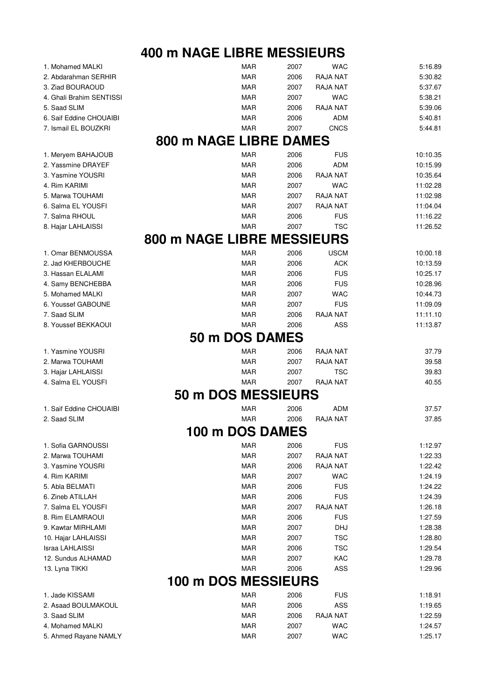## **400 m NAGE LIBRE MESSIEURS**

| 1. Mohamed MALKI         | MAR                        | 2007         | <b>WAC</b>      | 5:16.89  |
|--------------------------|----------------------------|--------------|-----------------|----------|
| 2. Abdarahman SERHIR     | <b>MAR</b>                 | 2006         | RAJA NAT        | 5:30.82  |
| 3. Ziad BOURAOUD         | <b>MAR</b>                 | 2007         | RAJA NAT        | 5:37.67  |
| 4. Ghali Brahim SENTISSI | <b>MAR</b>                 | 2007         | <b>WAC</b>      | 5:38.21  |
| 5. Saad SLIM             | <b>MAR</b>                 | 2006         | RAJA NAT        | 5:39.06  |
| 6. Saif Eddine CHOUAIBI  | <b>MAR</b>                 | 2006         | <b>ADM</b>      | 5:40.81  |
| 7. Ismail EL BOUZKRI     | <b>MAR</b>                 | 2007         | <b>CNCS</b>     | 5:44.81  |
|                          | 800 m NAGE LIBRE           | <b>DAMES</b> |                 |          |
| 1. Meryem BAHAJOUB       | <b>MAR</b>                 | 2006         | <b>FUS</b>      | 10:10.35 |
| 2. Yassmine DRAYEF       | <b>MAR</b>                 | 2006         | <b>ADM</b>      | 10:15.99 |
| 3. Yasmine YOUSRI        | <b>MAR</b>                 | 2006         | RAJA NAT        | 10:35.64 |
| 4. Rim KARIMI            | MAR                        | 2007         | <b>WAC</b>      | 11:02.28 |
|                          |                            |              |                 |          |
| 5. Marwa TOUHAMI         | MAR                        | 2007         | RAJA NAT        | 11:02.98 |
| 6. Salma EL YOUSFI       | <b>MAR</b>                 | 2007         | RAJA NAT        | 11:04.04 |
| 7. Salma RHOUL           | <b>MAR</b>                 | 2006         | <b>FUS</b>      | 11:16.22 |
| 8. Hajar LAHLAISSI       | <b>MAR</b>                 | 2007         | <b>TSC</b>      | 11:26.52 |
|                          | 800 m NAGE LIBRE MESSIEURS |              |                 |          |
| 1. Omar BENMOUSSA        | <b>MAR</b>                 | 2006         | <b>USCM</b>     | 10:00.18 |
| 2. Jad KHERBOUCHE        | <b>MAR</b>                 | 2006         | <b>ACK</b>      | 10:13.59 |
| 3. Hassan ELALAMI        | <b>MAR</b>                 | 2006         | <b>FUS</b>      | 10:25.17 |
| 4. Samy BENCHEBBA        | MAR                        | 2006         | <b>FUS</b>      | 10:28.96 |
| 5. Mohamed MALKI         | MAR                        | 2007         | <b>WAC</b>      | 10:44.73 |
| 6. Youssef GABOUNE       | <b>MAR</b>                 | 2007         | <b>FUS</b>      | 11:09.09 |
| 7. Saad SLIM             | <b>MAR</b>                 | 2006         | RAJA NAT        | 11:11.10 |
| 8. Youssef BEKKAOUI      | <b>MAR</b>                 | 2006         | ASS             | 11:13.87 |
|                          | 50 m DOS DAMES             |              |                 |          |
|                          |                            |              |                 |          |
| 1. Yasmine YOUSRI        | <b>MAR</b>                 | 2006         | <b>RAJA NAT</b> | 37.79    |
| 2. Marwa TOUHAMI         | <b>MAR</b>                 | 2007         | RAJA NAT        | 39.58    |
| 3. Hajar LAHLAISSI       | <b>MAR</b>                 | 2007         | <b>TSC</b>      | 39.83    |
| 4. Salma EL YOUSFI       | <b>MAR</b>                 | 2007         | <b>RAJA NAT</b> | 40.55    |
|                          | 50 m DOS MESSIEURS         |              |                 |          |
| 1. Saif Eddine CHOUAIBI  | MAR                        | 2006         | ADM             | 37.57    |
| 2. Saad SLIM             | <b>MAR</b>                 | 2006         | RAJA NAT        | 37.85    |
|                          | <b>100 m DOS DAMES</b>     |              |                 |          |
| 1. Sofia GARNOUSSI       | MAR                        | 2006         | <b>FUS</b>      | 1:12.97  |
| 2. Marwa TOUHAMI         | <b>MAR</b>                 | 2007         | RAJA NAT        | 1:22.33  |
| 3. Yasmine YOUSRI        | MAR                        | 2006         | RAJA NAT        | 1:22.42  |
| 4. Rim KARIMI            | <b>MAR</b>                 | 2007         | <b>WAC</b>      | 1:24.19  |
| 5. Abla BELMATI          | <b>MAR</b>                 | 2006         | <b>FUS</b>      | 1:24.22  |
| 6. Zineb ATILLAH         | MAR                        | 2006         | <b>FUS</b>      | 1:24.39  |
| 7. Salma EL YOUSFI       | MAR                        | 2007         | RAJA NAT        | 1:26.18  |
| 8. Rim ELAMRAOUI         | <b>MAR</b>                 | 2006         | <b>FUS</b>      | 1:27.59  |
| 9. Kawtar MIRHLAMI       | <b>MAR</b>                 | 2007         | <b>DHJ</b>      | 1:28.38  |
| 10. Hajar LAHLAISSI      | MAR                        | 2007         | <b>TSC</b>      | 1:28.80  |
| Israa LAHLAISSI          | <b>MAR</b>                 | 2006         | <b>TSC</b>      | 1:29.54  |
| 12. Sundus ALHAMAD       | MAR                        | 2007         | KAC             | 1:29.78  |
| 13. Lyna TIKKI           | <b>MAR</b>                 | 2006         | ASS             | 1:29.96  |
|                          | 100 m DOS MESSIEURS        |              |                 |          |
|                          |                            |              |                 |          |
| 1. Jade KISSAMI          | <b>MAR</b>                 | 2006         | <b>FUS</b>      | 1:18.91  |
| 2. Asaad BOULMAKOUL      | <b>MAR</b>                 | 2006         | <b>ASS</b>      | 1:19.65  |
| 3. Saad SLIM             | <b>MAR</b>                 | 2006         | RAJA NAT        | 1:22.59  |
| 4. Mohamed MALKI         | <b>MAR</b>                 | 2007         | <b>WAC</b>      | 1:24.57  |
| 5. Ahmed Rayane NAMLY    | <b>MAR</b>                 | 2007         | <b>WAC</b>      | 1:25.17  |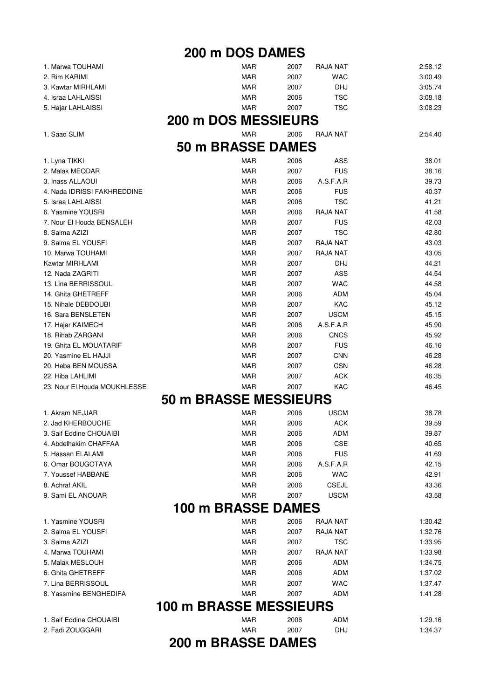**200 m DOS DAMES**

| 1. Marwa TOUHAMI                            | <b>MAR</b>                    | 2007         | <b>RAJA NAT</b>   | 2:58.12            |
|---------------------------------------------|-------------------------------|--------------|-------------------|--------------------|
| 2. Rim KARIMI                               | <b>MAR</b>                    | 2007         | <b>WAC</b>        | 3:00.49            |
| 3. Kawtar MIRHLAMI                          | <b>MAR</b>                    | 2007         | <b>DHJ</b>        | 3:05.74            |
| 4. Israa LAHLAISSI                          | MAR                           | 2006         | <b>TSC</b>        | 3:08.18            |
| 5. Hajar LAHLAISSI                          | MAR                           | 2007         | <b>TSC</b>        | 3:08.23            |
|                                             | <b>200 m DOS MESSIEURS</b>    |              |                   |                    |
| 1. Saad SLIM                                | <b>MAR</b>                    | 2006         | RAJA NAT          | 2:54.40            |
|                                             |                               |              |                   |                    |
|                                             | 50 m BRASSE DAMES             |              |                   |                    |
| 1. Lyna TIKKI                               | MAR                           | 2006         | ASS               | 38.01              |
| 2. Malak MEQDAR                             | <b>MAR</b>                    | 2007         | <b>FUS</b>        | 38.16              |
| 3. Inass ALLAOUI                            | <b>MAR</b>                    | 2006         | A.S.F.A.R         | 39.73              |
| 4. Nada IDRISSI FAKHREDDINE                 | <b>MAR</b>                    | 2006         | <b>FUS</b>        | 40.37              |
| 5. Israa LAHLAISSI                          | <b>MAR</b>                    | 2006         | <b>TSC</b>        | 41.21              |
| 6. Yasmine YOUSRI                           | MAR                           | 2006         | RAJA NAT          | 41.58              |
| 7. Nour El Houda BENSALEH                   | <b>MAR</b>                    | 2007         | <b>FUS</b>        | 42.03              |
| 8. Salma AZIZI                              | <b>MAR</b>                    | 2007         | <b>TSC</b>        | 42.80              |
| 9. Salma EL YOUSFI                          | <b>MAR</b>                    | 2007         | RAJA NAT          | 43.03              |
| 10. Marwa TOUHAMI                           | <b>MAR</b>                    | 2007         | RAJA NAT          | 43.05              |
| Kawtar MIRHLAMI                             | <b>MAR</b>                    | 2007         | <b>DHJ</b>        | 44.21              |
| 12. Nada ZAGRITI                            | <b>MAR</b>                    | 2007         | ASS               | 44.54              |
| 13. Lina BERRISSOUL                         | MAR                           | 2007         | <b>WAC</b>        | 44.58              |
| 14. Ghita GHETREFF                          | <b>MAR</b>                    | 2006         | <b>ADM</b>        | 45.04              |
| 15. Nihale DEBDOUBI                         | <b>MAR</b>                    | 2007         | KAC               | 45.12              |
| 16. Sara BENSLETEN                          | <b>MAR</b>                    | 2007         | <b>USCM</b>       | 45.15              |
| 17. Hajar KAIMECH                           | <b>MAR</b>                    | 2006         | A.S.F.A.R         | 45.90              |
| 18. Rihab ZARGANI                           | <b>MAR</b>                    | 2006         | <b>CNCS</b>       | 45.92              |
| 19. Ghita EL MOUATARIF                      | <b>MAR</b>                    | 2007         | <b>FUS</b>        | 46.16              |
| 20. Yasmine EL HAJJI                        | <b>MAR</b>                    | 2007         | <b>CNN</b>        | 46.28              |
| 20. Heba BEN MOUSSA                         | <b>MAR</b>                    | 2007         | <b>CSN</b>        | 46.28              |
| 22. Hiba LAHLIMI                            | <b>MAR</b>                    | 2007         | <b>ACK</b>        | 46.35              |
| 23. Nour El Houda MOUKHLESSE                | MAR                           | 2007         | KAC               | 46.45              |
|                                             | <b>50 m BRASSE MESSIEURS</b>  |              |                   |                    |
| 1. Akram NEJJAR                             | MAR                           | 2006         | <b>USCM</b>       | 38.78              |
| 2. Jad KHERBOUCHE                           | <b>MAR</b>                    | 2006         | <b>ACK</b>        | 39.59              |
| 3. Saif Eddine CHOUAIBI                     | <b>MAR</b>                    | 2006         | <b>ADM</b>        | 39.87              |
| 4. Abdelhakim CHAFFAA                       | MAR                           | 2006         | <b>CSE</b>        | 40.65              |
| 5. Hassan ELALAMI                           | <b>MAR</b>                    | 2006         | <b>FUS</b>        | 41.69              |
| 6. Omar BOUGOTAYA                           | <b>MAR</b>                    | 2006         | A.S.F.A.R         | 42.15              |
| 7. Youssef HABBANE                          | <b>MAR</b>                    | 2006         | <b>WAC</b>        | 42.91              |
| 8. Achraf AKIL                              | <b>MAR</b>                    | 2006         | <b>CSEJL</b>      | 43.36              |
| 9. Sami EL ANOUAR                           | <b>MAR</b>                    | 2007         | <b>USCM</b>       | 43.58              |
|                                             | 100 m BRASSE                  | <b>DAMES</b> |                   |                    |
| 1. Yasmine YOUSRI                           | <b>MAR</b>                    | 2006         | RAJA NAT          | 1:30.42            |
| 2. Salma EL YOUSFI                          | <b>MAR</b>                    | 2007         | <b>RAJA NAT</b>   | 1:32.76            |
| 3. Salma AZIZI                              | <b>MAR</b>                    | 2007         | <b>TSC</b>        | 1:33.95            |
| 4. Marwa TOUHAMI                            | <b>MAR</b>                    | 2007         | RAJA NAT          | 1:33.98            |
| 5. Malak MESLOUH                            | <b>MAR</b>                    | 2006         | <b>ADM</b>        | 1:34.75            |
| 6. Ghita GHETREFF                           | <b>MAR</b>                    | 2006         | <b>ADM</b>        | 1:37.02            |
| 7. Lina BERRISSOUL                          | <b>MAR</b>                    | 2007         | <b>WAC</b>        | 1:37.47            |
| 8. Yassmine BENGHEDIFA                      | <b>MAR</b>                    | 2007         | <b>ADM</b>        | 1:41.28            |
|                                             | <b>100 m BRASSE MESSIEURS</b> |              |                   |                    |
|                                             |                               |              |                   |                    |
| 1. Saif Eddine CHOUAIBI<br>2. Fadi ZOUGGARI | <b>MAR</b><br><b>MAR</b>      | 2006<br>2007 | ADM<br><b>DHJ</b> | 1:29.16<br>1:34.37 |
|                                             |                               |              |                   |                    |

**200 m BRASSE DAMES**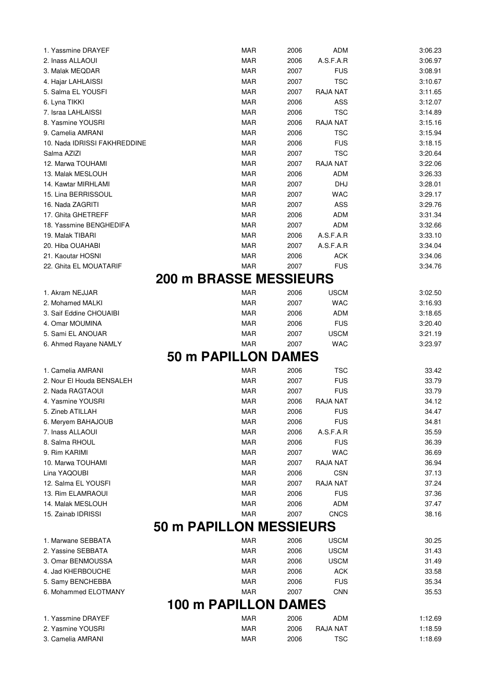| 1. Yassmine DRAYEF           | <b>MAR</b>                     | 2006 | <b>ADM</b>      | 3:06.23 |
|------------------------------|--------------------------------|------|-----------------|---------|
| 2. Inass ALLAOUI             | <b>MAR</b>                     | 2006 | A.S.F.A.R       | 3:06.97 |
| 3. Malak MEQDAR              | MAR                            | 2007 | <b>FUS</b>      | 3:08.91 |
| 4. Hajar LAHLAISSI           | <b>MAR</b>                     | 2007 | <b>TSC</b>      | 3:10.67 |
| 5. Salma EL YOUSFI           | <b>MAR</b>                     | 2007 | RAJA NAT        | 3:11.65 |
| 6. Lyna TIKKI                | <b>MAR</b>                     | 2006 | ASS             | 3:12.07 |
| 7. Israa LAHLAISSI           | MAR                            | 2006 | <b>TSC</b>      | 3:14.89 |
| 8. Yasmine YOUSRI            | <b>MAR</b>                     | 2006 | RAJA NAT        | 3:15.16 |
| 9. Camelia AMRANI            | <b>MAR</b>                     | 2006 | <b>TSC</b>      | 3:15.94 |
| 10. Nada IDRISSI FAKHREDDINE | <b>MAR</b>                     | 2006 | <b>FUS</b>      | 3:18.15 |
| Salma AZIZI                  | <b>MAR</b>                     | 2007 | TSC             | 3:20.64 |
| 12. Marwa TOUHAMI            | <b>MAR</b>                     | 2007 | <b>RAJA NAT</b> | 3:22.06 |
| 13. Malak MESLOUH            | <b>MAR</b>                     | 2006 | <b>ADM</b>      | 3:26.33 |
| 14. Kawtar MIRHLAMI          | <b>MAR</b>                     | 2007 | <b>DHJ</b>      | 3:28.01 |
| 15. Lina BERRISSOUL          | <b>MAR</b>                     | 2007 | WAC             | 3:29.17 |
| 16. Nada ZAGRITI             | MAR                            | 2007 | <b>ASS</b>      | 3:29.76 |
| 17. Ghita GHETREFF           | MAR                            | 2006 | <b>ADM</b>      | 3:31.34 |
| 18. Yassmine BENGHEDIFA      | MAR                            | 2007 | <b>ADM</b>      | 3:32.66 |
| 19. Malak TIBARI             | MAR                            | 2006 | A.S.F.A.R       | 3:33.10 |
| 20. Hiba OUAHABI             | MAR                            | 2007 | A.S.F.A.R       | 3:34.04 |
| 21. Kaoutar HOSNI            | <b>MAR</b>                     | 2006 | <b>ACK</b>      | 3:34.06 |
| 22. Ghita EL MOUATARIF       | <b>MAR</b>                     | 2007 | <b>FUS</b>      | 3:34.76 |
|                              | <b>200 m BRASSE MESSIEURS</b>  |      |                 |         |
| 1. Akram NEJJAR              | MAR                            | 2006 | <b>USCM</b>     | 3:02.50 |
| 2. Mohamed MALKI             | <b>MAR</b>                     | 2007 | <b>WAC</b>      | 3:16.93 |
| 3. Saif Eddine CHOUAIBI      | <b>MAR</b>                     | 2006 | <b>ADM</b>      | 3:18.65 |
| 4. Omar MOUMINA              | <b>MAR</b>                     | 2006 | <b>FUS</b>      | 3:20.40 |
| 5. Sami EL ANOUAR            | MAR                            | 2007 | <b>USCM</b>     | 3:21.19 |
| 6. Ahmed Rayane NAMLY        | <b>MAR</b>                     | 2007 | <b>WAC</b>      | 3:23.97 |
|                              | <b>50 m PAPILLON DAMES</b>     |      |                 |         |
| 1. Camelia AMRANI            | <b>MAR</b>                     | 2006 | <b>TSC</b>      | 33.42   |
| 2. Nour El Houda BENSALEH    | <b>MAR</b>                     | 2007 | <b>FUS</b>      | 33.79   |
| 2. Nada RAGTAOUI             | <b>MAR</b>                     | 2007 | <b>FUS</b>      | 33.79   |
| 4. Yasmine YOUSRI            | <b>MAR</b>                     | 2006 | <b>RAJA NAT</b> | 34.12   |
| 5. Zineb ATILLAH             | <b>MAR</b>                     | 2006 | <b>FUS</b>      | 34.47   |
| 6. Meryem BAHAJOUB           | <b>MAR</b>                     | 2006 | <b>FUS</b>      | 34.81   |
| 7. Inass ALLAOUI             | MAR                            | 2006 | A.S.F.A.R       | 35.59   |
| 8. Salma RHOUL               | <b>MAR</b>                     | 2006 | <b>FUS</b>      | 36.39   |
| 9. Rim KARIMI                | <b>MAR</b>                     | 2007 | <b>WAC</b>      | 36.69   |
| 10. Marwa TOUHAMI            | <b>MAR</b>                     | 2007 | RAJA NAT        | 36.94   |
| Lina YAQOUBI                 | <b>MAR</b>                     | 2006 | <b>CSN</b>      | 37.13   |
| 12. Salma EL YOUSFI          | <b>MAR</b>                     | 2007 | RAJA NAT        | 37.24   |
| 13. Rim ELAMRAOUI            | <b>MAR</b>                     | 2006 | <b>FUS</b>      | 37.36   |
| 14. Malak MESLOUH            | <b>MAR</b>                     | 2006 | <b>ADM</b>      | 37.47   |
| 15. Zainab IDRISSI           | MAR                            | 2007 | <b>CNCS</b>     | 38.16   |
|                              | <b>50 m PAPILLON MESSIEURS</b> |      |                 |         |
| 1. Marwane SEBBATA           | MAR                            | 2006 | <b>USCM</b>     | 30.25   |
| 2. Yassine SEBBATA           | <b>MAR</b>                     | 2006 | <b>USCM</b>     | 31.43   |
| 3. Omar BENMOUSSA            | <b>MAR</b>                     | 2006 | <b>USCM</b>     | 31.49   |
| 4. Jad KHERBOUCHE            | <b>MAR</b>                     | 2006 | <b>ACK</b>      | 33.58   |
| 5. Samy BENCHEBBA            | <b>MAR</b>                     | 2006 | <b>FUS</b>      | 35.34   |
| 6. Mohammed ELOTMANY         | <b>MAR</b>                     | 2007 | <b>CNN</b>      | 35.53   |
|                              | <b>100 m PAPILLON DAMES</b>    |      |                 |         |
| 1. Yassmine DRAYEF           | <b>MAR</b>                     | 2006 | <b>ADM</b>      | 1:12.69 |
| 2. Yasmine YOUSRI            | <b>MAR</b>                     | 2006 | RAJA NAT        | 1:18.59 |
| 3. Camelia AMRANI            | <b>MAR</b>                     | 2006 | <b>TSC</b>      | 1:18.69 |
|                              |                                |      |                 |         |